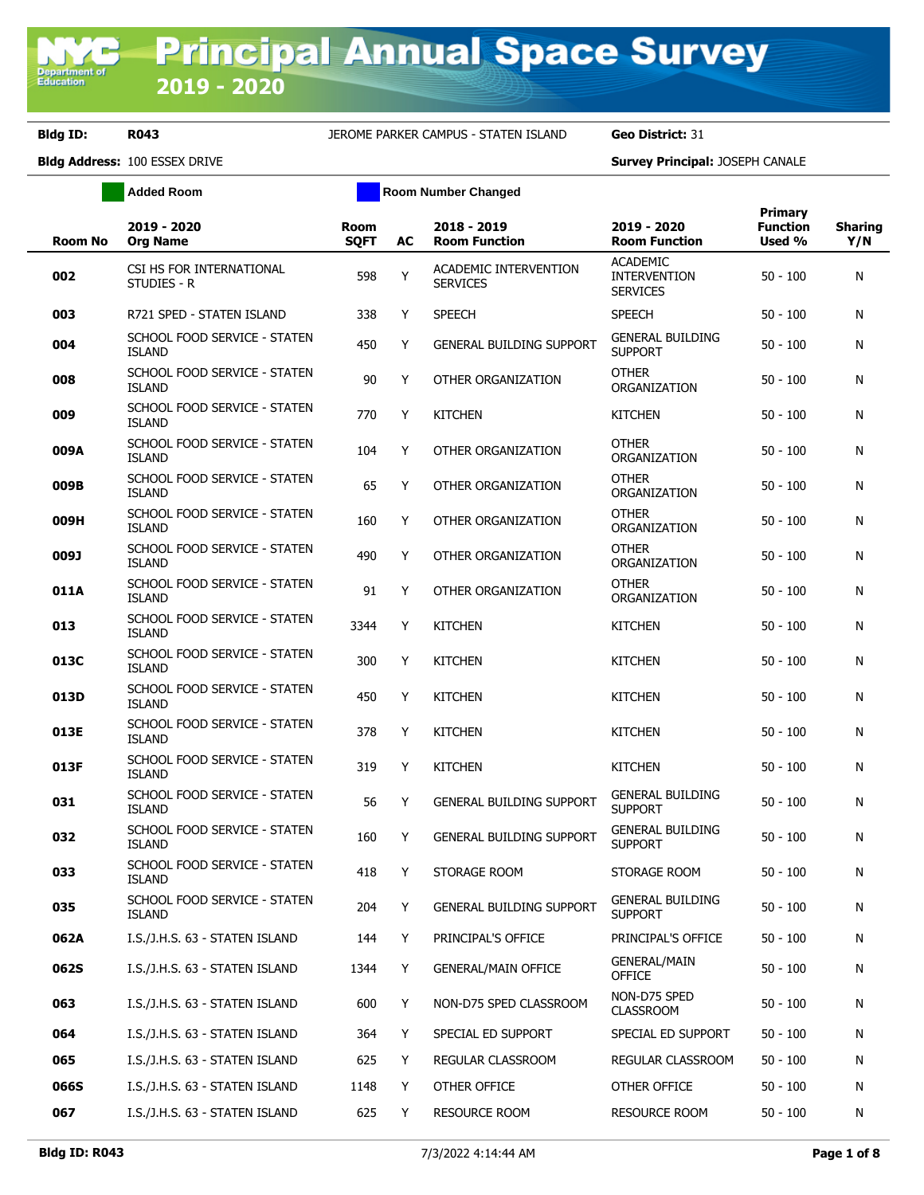**Added Room Room Room Number Changed** 

| <b>Room No</b> | 2019 - 2020<br><b>Org Name</b>                | <b>Room</b><br><b>SQFT</b> | AC | 2018 - 2019<br><b>Room Function</b>      | 2019 - 2020<br><b>Room Function</b>                       | Primary<br><b>Function</b><br>Used % | <b>Sharing</b><br>Y/N |
|----------------|-----------------------------------------------|----------------------------|----|------------------------------------------|-----------------------------------------------------------|--------------------------------------|-----------------------|
| 002            | CSI HS FOR INTERNATIONAL<br>STUDIES - R       | 598                        | Y  | ACADEMIC INTERVENTION<br><b>SERVICES</b> | <b>ACADEMIC</b><br><b>INTERVENTION</b><br><b>SERVICES</b> | $50 - 100$                           | N                     |
| 003            | R721 SPED - STATEN ISLAND                     | 338                        | Y  | <b>SPEECH</b>                            | <b>SPEECH</b>                                             | $50 - 100$                           | N                     |
| 004            | SCHOOL FOOD SERVICE - STATEN<br><b>ISLAND</b> | 450                        | Y  | <b>GENERAL BUILDING SUPPORT</b>          | <b>GENERAL BUILDING</b><br><b>SUPPORT</b>                 | $50 - 100$                           | N                     |
| 008            | SCHOOL FOOD SERVICE - STATEN<br><b>ISLAND</b> | 90                         | Y  | <b>OTHER ORGANIZATION</b>                | <b>OTHER</b><br>ORGANIZATION                              | $50 - 100$                           | N                     |
| 009            | SCHOOL FOOD SERVICE - STATEN<br><b>ISLAND</b> | 770                        | Y  | <b>KITCHEN</b>                           | <b>KITCHEN</b>                                            | $50 - 100$                           | N                     |
| 009A           | SCHOOL FOOD SERVICE - STATEN<br><b>ISLAND</b> | 104                        | Y  | OTHER ORGANIZATION                       | <b>OTHER</b><br>ORGANIZATION                              | $50 - 100$                           | N                     |
| 009B           | SCHOOL FOOD SERVICE - STATEN<br><b>ISLAND</b> | 65                         | Y  | OTHER ORGANIZATION                       | <b>OTHER</b><br>ORGANIZATION                              | 50 - 100                             | N                     |
| 009H           | SCHOOL FOOD SERVICE - STATEN<br><b>ISLAND</b> | 160                        | Y  | OTHER ORGANIZATION                       | <b>OTHER</b><br>ORGANIZATION                              | $50 - 100$                           | N                     |
| 009J           | SCHOOL FOOD SERVICE - STATEN<br><b>ISLAND</b> | 490                        | Y  | OTHER ORGANIZATION                       | <b>OTHER</b><br>ORGANIZATION                              | $50 - 100$                           | N                     |
| 011A           | SCHOOL FOOD SERVICE - STATEN<br><b>ISLAND</b> | 91                         | Y  | OTHER ORGANIZATION                       | <b>OTHER</b><br>ORGANIZATION                              | $50 - 100$                           | N                     |
| 013            | SCHOOL FOOD SERVICE - STATEN<br><b>ISLAND</b> | 3344                       | Y  | <b>KITCHEN</b>                           | <b>KITCHEN</b>                                            | $50 - 100$                           | N                     |
| 013C           | SCHOOL FOOD SERVICE - STATEN<br><b>ISLAND</b> | 300                        | Y  | <b>KITCHEN</b>                           | <b>KITCHEN</b>                                            | $50 - 100$                           | N                     |
| 013D           | SCHOOL FOOD SERVICE - STATEN<br><b>ISLAND</b> | 450                        | Y  | <b>KITCHEN</b>                           | <b>KITCHEN</b>                                            | $50 - 100$                           | N                     |
| 013E           | SCHOOL FOOD SERVICE - STATEN<br><b>ISLAND</b> | 378                        | Y  | <b>KITCHEN</b>                           | <b>KITCHEN</b>                                            | $50 - 100$                           | N                     |
| 013F           | SCHOOL FOOD SERVICE - STATEN<br><b>ISLAND</b> | 319                        | Y  | <b>KITCHEN</b>                           | <b>KITCHEN</b>                                            | $50 - 100$                           | N                     |
| 031            | SCHOOL FOOD SERVICE - STATEN<br><b>ISLAND</b> | 56                         | Y  | <b>GENERAL BUILDING SUPPORT</b>          | <b>GENERAL BUILDING</b><br><b>SUPPORT</b>                 | $50 - 100$                           | N                     |
| 032            | SCHOOL FOOD SERVICE - STATEN<br><b>ISLAND</b> | 160                        | Y  | <b>GENERAL BUILDING SUPPORT</b>          | <b>GENERAL BUILDING</b><br><b>SUPPORT</b>                 | $50 - 100$                           | N                     |
| 033            | SCHOOL FOOD SERVICE - STATEN<br><b>ISLAND</b> | 418                        | Y  | STORAGE ROOM                             | STORAGE ROOM                                              | $50 - 100$                           | N                     |
| 035            | SCHOOL FOOD SERVICE - STATEN<br><b>ISLAND</b> | 204                        | Y  | <b>GENERAL BUILDING SUPPORT</b>          | <b>GENERAL BUILDING</b><br><b>SUPPORT</b>                 | $50 - 100$                           | N                     |
| 062A           | I.S./J.H.S. 63 - STATEN ISLAND                | 144                        | Y  | PRINCIPAL'S OFFICE                       | PRINCIPAL'S OFFICE                                        | $50 - 100$                           | N                     |
| 062S           | I.S./J.H.S. 63 - STATEN ISLAND                | 1344                       | Y  | <b>GENERAL/MAIN OFFICE</b>               | <b>GENERAL/MAIN</b><br><b>OFFICE</b>                      | $50 - 100$                           | N                     |
| 063            | I.S./J.H.S. 63 - STATEN ISLAND                | 600                        | Y  | NON-D75 SPED CLASSROOM                   | NON-D75 SPED<br><b>CLASSROOM</b>                          | $50 - 100$                           | N                     |
| 064            | I.S./J.H.S. 63 - STATEN ISLAND                | 364                        | Y  | SPECIAL ED SUPPORT                       | SPECIAL ED SUPPORT                                        | $50 - 100$                           | N                     |
| 065            | I.S./J.H.S. 63 - STATEN ISLAND                | 625                        | Y  | REGULAR CLASSROOM                        | REGULAR CLASSROOM                                         | $50 - 100$                           | N                     |
| 066S           | I.S./J.H.S. 63 - STATEN ISLAND                | 1148                       | Y  | OTHER OFFICE                             | OTHER OFFICE                                              | $50 - 100$                           | N                     |
| 067            | I.S./J.H.S. 63 - STATEN ISLAND                | 625                        | Υ  | RESOURCE ROOM                            | <b>RESOURCE ROOM</b>                                      | $50 - 100$                           | N                     |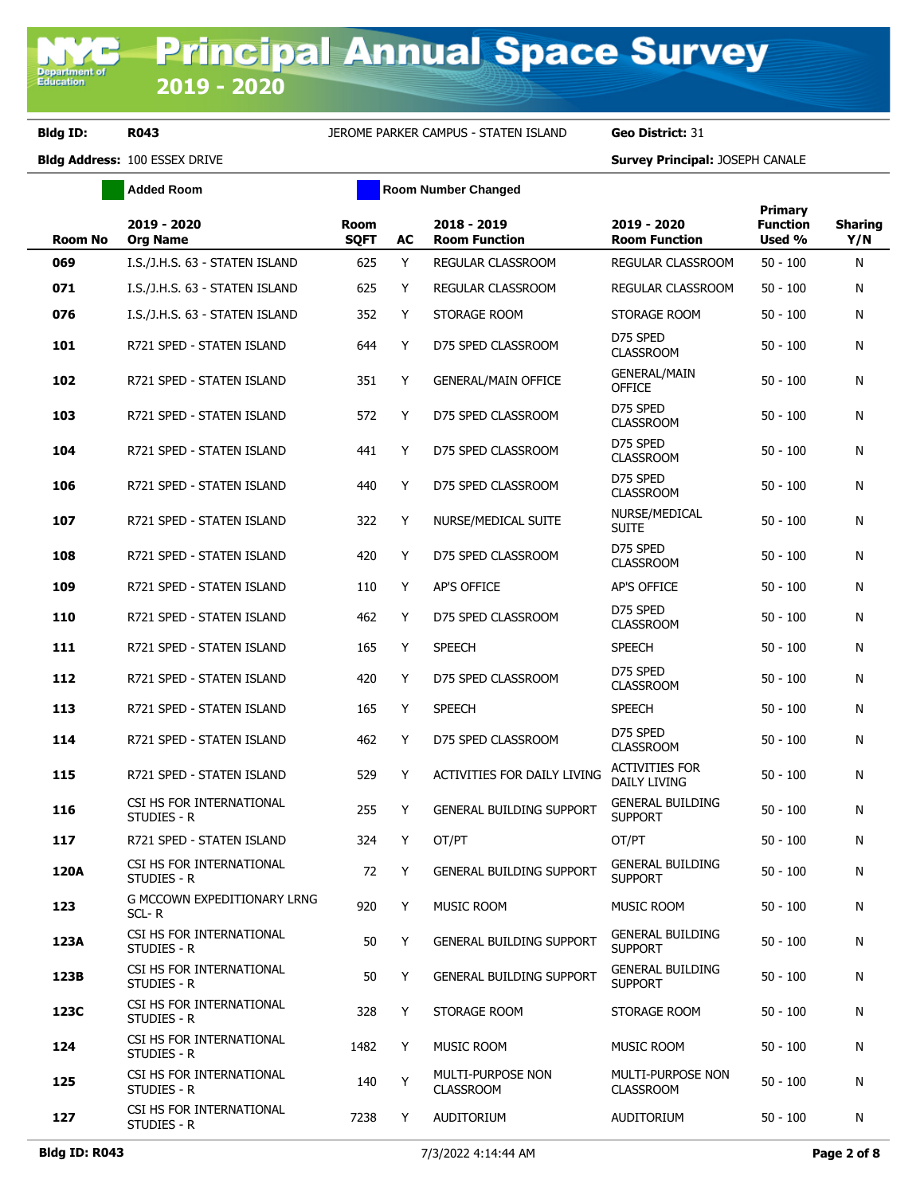**Added Room Room Room Number Changed** 

| Room No | 2019 - 2020<br><b>Org Name</b>          | Room<br><b>SQFT</b> | AC | 2018 - 2019<br><b>Room Function</b>   | 2019 - 2020<br><b>Room Function</b>       | Primary<br><b>Function</b><br>Used % | <b>Sharing</b><br>Y/N |
|---------|-----------------------------------------|---------------------|----|---------------------------------------|-------------------------------------------|--------------------------------------|-----------------------|
| 069     | I.S./J.H.S. 63 - STATEN ISLAND          | 625                 | Y  | REGULAR CLASSROOM                     | REGULAR CLASSROOM                         | $50 - 100$                           | N                     |
| 071     | I.S./J.H.S. 63 - STATEN ISLAND          | 625                 | Y  | REGULAR CLASSROOM                     | REGULAR CLASSROOM                         | $50 - 100$                           | N                     |
| 076     | I.S./J.H.S. 63 - STATEN ISLAND          | 352                 | Y  | STORAGE ROOM                          | STORAGE ROOM                              | $50 - 100$                           | N                     |
| 101     | R721 SPED - STATEN ISLAND               | 644                 | Y  | D75 SPED CLASSROOM                    | D75 SPED<br><b>CLASSROOM</b>              | $50 - 100$                           | N                     |
| 102     | R721 SPED - STATEN ISLAND               | 351                 | Y  | <b>GENERAL/MAIN OFFICE</b>            | <b>GENERAL/MAIN</b><br><b>OFFICE</b>      | $50 - 100$                           | N                     |
| 103     | R721 SPED - STATEN ISLAND               | 572                 | Y  | D75 SPED CLASSROOM                    | D75 SPED<br><b>CLASSROOM</b>              | $50 - 100$                           | N                     |
| 104     | R721 SPED - STATEN ISLAND               | 441                 | Y  | D75 SPED CLASSROOM                    | D75 SPED<br><b>CLASSROOM</b>              | $50 - 100$                           | N                     |
| 106     | R721 SPED - STATEN ISLAND               | 440                 | Y  | D75 SPED CLASSROOM                    | D75 SPED<br><b>CLASSROOM</b>              | $50 - 100$                           | N                     |
| 107     | R721 SPED - STATEN ISLAND               | 322                 | Y  | NURSE/MEDICAL SUITE                   | NURSE/MEDICAL<br><b>SUITE</b>             | $50 - 100$                           | N                     |
| 108     | R721 SPED - STATEN ISLAND               | 420                 | Y  | D75 SPED CLASSROOM                    | D75 SPED<br><b>CLASSROOM</b>              | $50 - 100$                           | N                     |
| 109     | R721 SPED - STATEN ISLAND               | 110                 | Y  | AP'S OFFICE                           | AP'S OFFICE                               | $50 - 100$                           | N                     |
| 110     | R721 SPED - STATEN ISLAND               | 462                 | Y  | D75 SPED CLASSROOM                    | D75 SPED<br><b>CLASSROOM</b>              | $50 - 100$                           | N                     |
| 111     | R721 SPED - STATEN ISLAND               | 165                 | Y  | <b>SPEECH</b>                         | <b>SPEECH</b>                             | $50 - 100$                           | N                     |
| 112     | R721 SPED - STATEN ISLAND               | 420                 | Y  | D75 SPED CLASSROOM                    | D75 SPED<br><b>CLASSROOM</b>              | $50 - 100$                           | N                     |
| 113     | R721 SPED - STATEN ISLAND               | 165                 | Y  | <b>SPEECH</b>                         | <b>SPEECH</b>                             | $50 - 100$                           | N                     |
| 114     | R721 SPED - STATEN ISLAND               | 462                 | Y  | D75 SPED CLASSROOM                    | D75 SPED<br><b>CLASSROOM</b>              | $50 - 100$                           | N                     |
| 115     | R721 SPED - STATEN ISLAND               | 529                 | Y  | ACTIVITIES FOR DAILY LIVING           | <b>ACTIVITIES FOR</b><br>DAILY LIVING     | $50 - 100$                           | N                     |
| 116     | CSI HS FOR INTERNATIONAL<br>STUDIES - R | 255                 | Y  | <b>GENERAL BUILDING SUPPORT</b>       | <b>GENERAL BUILDING</b><br><b>SUPPORT</b> | $50 - 100$                           | N                     |
| 117     | R721 SPED - STATEN ISLAND               | 324                 | Y  | OT/PT                                 | OT/PT                                     | $50 - 100$                           | N                     |
| 120A    | CSI HS FOR INTERNATIONAL<br>STUDIES - R | 72                  | Y  | <b>GENERAL BUILDING SUPPORT</b>       | <b>GENERAL BUILDING</b><br><b>SUPPORT</b> | $50 - 100$                           | N                     |
| 123     | G MCCOWN EXPEDITIONARY LRNG<br>SCL-R    | 920                 | Y  | MUSIC ROOM                            | MUSIC ROOM                                | $50 - 100$                           | N                     |
| 123A    | CSI HS FOR INTERNATIONAL<br>STUDIES - R | 50                  | Y  | <b>GENERAL BUILDING SUPPORT</b>       | <b>GENERAL BUILDING</b><br><b>SUPPORT</b> | $50 - 100$                           | N                     |
| 123B    | CSI HS FOR INTERNATIONAL<br>STUDIES - R | 50                  | Y  | <b>GENERAL BUILDING SUPPORT</b>       | <b>GENERAL BUILDING</b><br><b>SUPPORT</b> | $50 - 100$                           | N                     |
| 123C    | CSI HS FOR INTERNATIONAL<br>STUDIES - R | 328                 | Y  | STORAGE ROOM                          | STORAGE ROOM                              | $50 - 100$                           | N                     |
| 124     | CSI HS FOR INTERNATIONAL<br>STUDIES - R | 1482                | Y  | MUSIC ROOM                            | MUSIC ROOM                                | $50 - 100$                           | N                     |
| 125     | CSI HS FOR INTERNATIONAL<br>STUDIES - R | 140                 | Y  | MULTI-PURPOSE NON<br><b>CLASSROOM</b> | MULTI-PURPOSE NON<br><b>CLASSROOM</b>     | $50 - 100$                           | N                     |
| 127     | CSI HS FOR INTERNATIONAL<br>STUDIES - R | 7238                | Y  | AUDITORIUM                            | <b>AUDITORIUM</b>                         | $50 - 100$                           | N                     |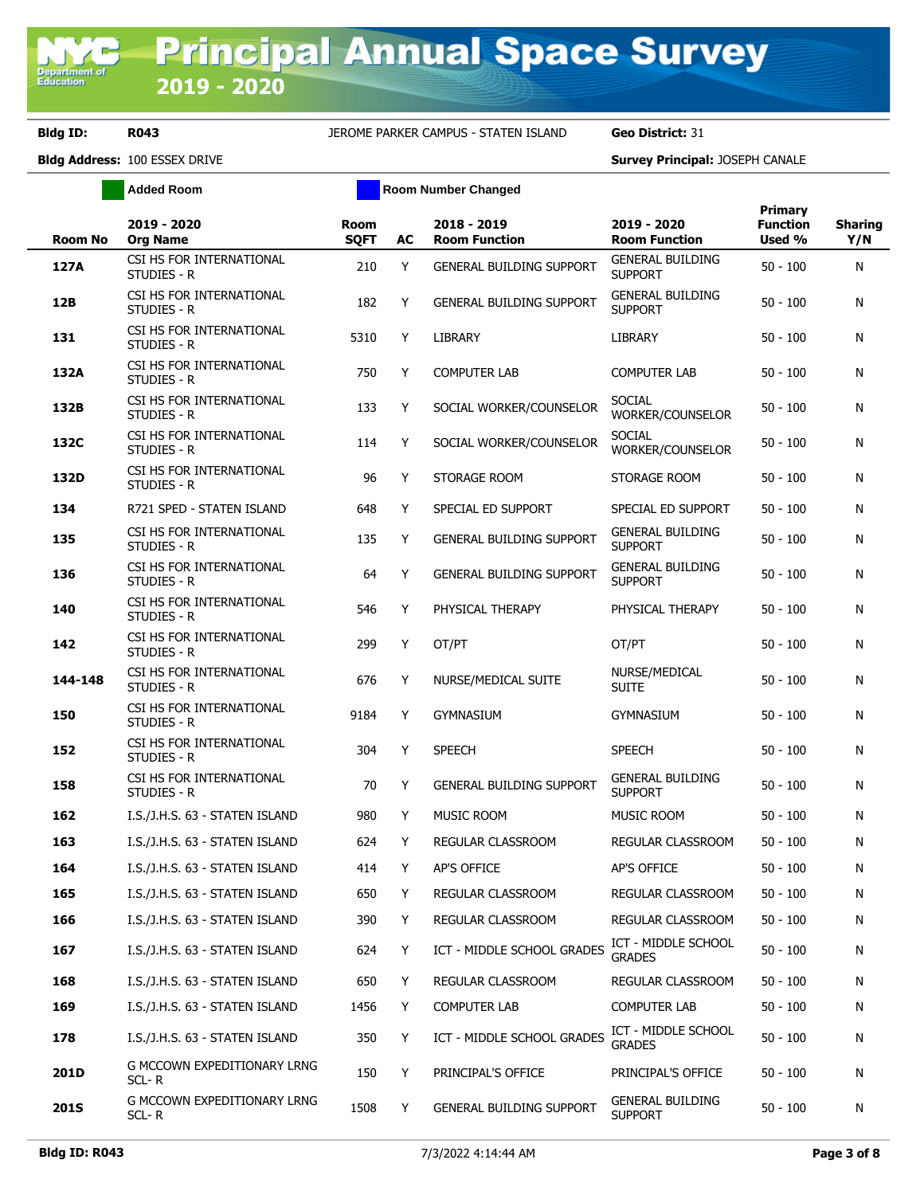**Added Room Room Room Number Changed** 

|     | <b>Room No</b> | 2019 - 2020<br><b>Org Name</b>          | <b>Room</b><br><b>SQFT</b> | AC | 2018 - 2019<br><b>Room Function</b> | 2019 - 2020<br><b>Room Function</b>       | <b>Primary</b><br><b>Function</b><br>Used % | <b>Sharing</b><br>Y/N |
|-----|----------------|-----------------------------------------|----------------------------|----|-------------------------------------|-------------------------------------------|---------------------------------------------|-----------------------|
|     | 127A           | CSI HS FOR INTERNATIONAL<br>STUDIES - R | 210                        | Y  | <b>GENERAL BUILDING SUPPORT</b>     | <b>GENERAL BUILDING</b><br><b>SUPPORT</b> | $50 - 100$                                  | N                     |
| 12B |                | CSI HS FOR INTERNATIONAL<br>STUDIES - R | 182                        | Y  | <b>GENERAL BUILDING SUPPORT</b>     | <b>GENERAL BUILDING</b><br><b>SUPPORT</b> | $50 - 100$                                  | N                     |
| 131 |                | CSI HS FOR INTERNATIONAL<br>STUDIES - R | 5310                       | Y  | <b>LIBRARY</b>                      | LIBRARY                                   | $50 - 100$                                  | N                     |
|     | 132A           | CSI HS FOR INTERNATIONAL<br>STUDIES - R | 750                        | Υ  | <b>COMPUTER LAB</b>                 | <b>COMPUTER LAB</b>                       | $50 - 100$                                  | N                     |
|     | 132B           | CSI HS FOR INTERNATIONAL<br>STUDIES - R | 133                        | Y  | SOCIAL WORKER/COUNSELOR             | <b>SOCIAL</b><br>WORKER/COUNSELOR         | $50 - 100$                                  | N                     |
|     | 132C           | CSI HS FOR INTERNATIONAL<br>STUDIES - R | 114                        | Y  | SOCIAL WORKER/COUNSELOR             | <b>SOCIAL</b><br>WORKER/COUNSELOR         | $50 - 100$                                  | N                     |
|     | 132D           | CSI HS FOR INTERNATIONAL<br>STUDIES - R | 96                         | Y  | STORAGE ROOM                        | STORAGE ROOM                              | $50 - 100$                                  | N                     |
| 134 |                | R721 SPED - STATEN ISLAND               | 648                        | Y  | SPECIAL ED SUPPORT                  | SPECIAL ED SUPPORT                        | $50 - 100$                                  | N                     |
| 135 |                | CSI HS FOR INTERNATIONAL<br>STUDIES - R | 135                        | Y  | <b>GENERAL BUILDING SUPPORT</b>     | <b>GENERAL BUILDING</b><br><b>SUPPORT</b> | $50 - 100$                                  | N                     |
| 136 |                | CSI HS FOR INTERNATIONAL<br>STUDIES - R | 64                         | Y  | <b>GENERAL BUILDING SUPPORT</b>     | <b>GENERAL BUILDING</b><br><b>SUPPORT</b> | $50 - 100$                                  | N                     |
| 140 |                | CSI HS FOR INTERNATIONAL<br>STUDIES - R | 546                        | Y  | PHYSICAL THERAPY                    | PHYSICAL THERAPY                          | $50 - 100$                                  | N                     |
| 142 |                | CSI HS FOR INTERNATIONAL<br>STUDIES - R | 299                        | Y  | OT/PT                               | OT/PT                                     | $50 - 100$                                  | N                     |
|     | 144-148        | CSI HS FOR INTERNATIONAL<br>STUDIES - R | 676                        | Y  | NURSE/MEDICAL SUITE                 | NURSE/MEDICAL<br>Suite                    | $50 - 100$                                  | N                     |
| 150 |                | CSI HS FOR INTERNATIONAL<br>STUDIES - R | 9184                       | Y  | <b>GYMNASIUM</b>                    | <b>GYMNASIUM</b>                          | $50 - 100$                                  | N                     |
| 152 |                | CSI HS FOR INTERNATIONAL<br>STUDIES - R | 304                        | Y  | <b>SPEECH</b>                       | <b>SPEECH</b>                             | $50 - 100$                                  | N                     |
| 158 |                | CSI HS FOR INTERNATIONAL<br>STUDIES - R | 70                         | Y  | <b>GENERAL BUILDING SUPPORT</b>     | <b>GENERAL BUILDING</b><br><b>SUPPORT</b> | $50 - 100$                                  | N                     |
|     | 162            | I.S./J.H.S. 63 - STATEN ISLAND          | 980                        | Υ  | MUSIC ROOM                          | MUSIC ROOM                                | $50 - 100$                                  | N                     |
| 163 |                | I.S./J.H.S. 63 - STATEN ISLAND          | 624                        | Y  | REGULAR CLASSROOM                   | REGULAR CLASSROOM                         | 50 - 100                                    | N                     |
| 164 |                | I.S./J.H.S. 63 - STATEN ISLAND          | 414                        | Y  | AP'S OFFICE                         | AP'S OFFICE                               | $50 - 100$                                  | N                     |
| 165 |                | I.S./J.H.S. 63 - STATEN ISLAND          | 650                        | Y  | REGULAR CLASSROOM                   | REGULAR CLASSROOM                         | $50 - 100$                                  | N                     |
|     | 166            | I.S./J.H.S. 63 - STATEN ISLAND          | 390                        | Y  | REGULAR CLASSROOM                   | REGULAR CLASSROOM                         | $50 - 100$                                  | N                     |
| 167 |                | I.S./J.H.S. 63 - STATEN ISLAND          | 624                        | Y  | ICT - MIDDLE SCHOOL GRADES          | ICT - MIDDLE SCHOOL<br><b>GRADES</b>      | $50 - 100$                                  | N                     |
|     | 168            | I.S./J.H.S. 63 - STATEN ISLAND          | 650                        | Y  | REGULAR CLASSROOM                   | REGULAR CLASSROOM                         | $50 - 100$                                  | N                     |
| 169 |                | I.S./J.H.S. 63 - STATEN ISLAND          | 1456                       | Y  | <b>COMPUTER LAB</b>                 | <b>COMPUTER LAB</b>                       | $50 - 100$                                  | N                     |
|     | 178            | I.S./J.H.S. 63 - STATEN ISLAND          | 350                        | Y  | ICT - MIDDLE SCHOOL GRADES          | ICT - MIDDLE SCHOOL<br><b>GRADES</b>      | $50 - 100$                                  | N                     |
|     | 201D           | G MCCOWN EXPEDITIONARY LRNG<br>SCL-R    | 150                        | Y  | PRINCIPAL'S OFFICE                  | PRINCIPAL'S OFFICE                        | $50 - 100$                                  | N                     |
|     | <b>201S</b>    | G MCCOWN EXPEDITIONARY LRNG<br>SCL-R    | 1508                       | Y  | GENERAL BUILDING SUPPORT            | <b>GENERAL BUILDING</b><br><b>SUPPORT</b> | $50 - 100$                                  | N                     |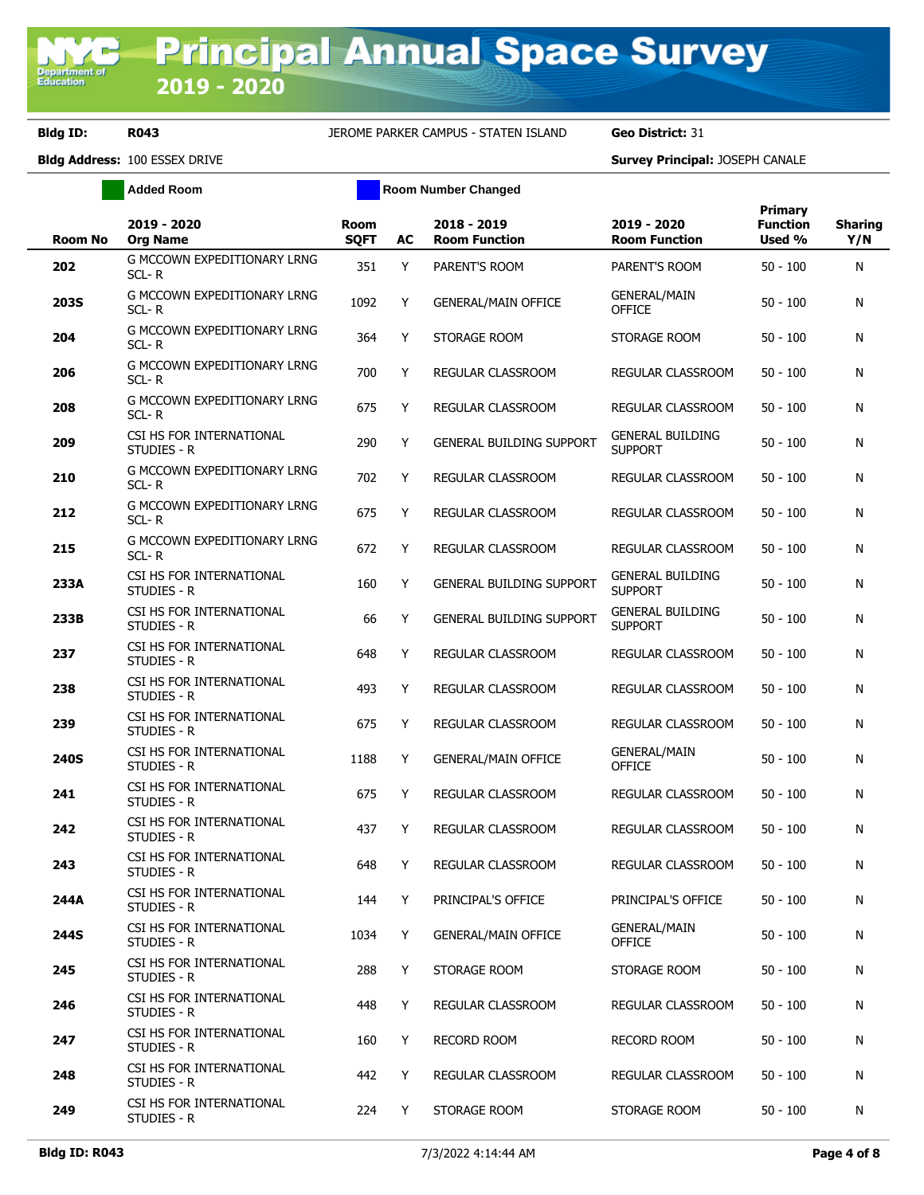**Added Room Room Room Number Changed** 

| <b>Room No</b> | 2019 - 2020<br><b>Org Name</b>                  | Room<br><b>SQFT</b> | AC | 2018 - 2019<br><b>Room Function</b> | 2019 - 2020<br><b>Room Function</b>       | Primary<br><b>Function</b><br>Used % | <b>Sharing</b><br>Y/N |
|----------------|-------------------------------------------------|---------------------|----|-------------------------------------|-------------------------------------------|--------------------------------------|-----------------------|
| 202            | <b>G MCCOWN EXPEDITIONARY LRNG</b><br>SCL-R     | 351                 | Y  | PARENT'S ROOM                       | PARENT'S ROOM                             | $50 - 100$                           | N                     |
| 203S           | G MCCOWN EXPEDITIONARY LRNG<br>SCL-R            | 1092                | Y  | <b>GENERAL/MAIN OFFICE</b>          | <b>GENERAL/MAIN</b><br><b>OFFICE</b>      | $50 - 100$                           | N                     |
| 204            | G MCCOWN EXPEDITIONARY LRNG<br>$SCL - R$        | 364                 | Y  | STORAGE ROOM                        | STORAGE ROOM                              | $50 - 100$                           | N                     |
| 206            | G MCCOWN EXPEDITIONARY LRNG<br>$SCL - R$        | 700                 | Y  | REGULAR CLASSROOM                   | REGULAR CLASSROOM                         | $50 - 100$                           | N                     |
| 208            | G MCCOWN EXPEDITIONARY LRNG<br>$SCL - R$        | 675                 | Y  | REGULAR CLASSROOM                   | <b>REGULAR CLASSROOM</b>                  | $50 - 100$                           | N                     |
| 209            | CSI HS FOR INTERNATIONAL<br>STUDIES - R         | 290                 | Y  | <b>GENERAL BUILDING SUPPORT</b>     | <b>GENERAL BUILDING</b><br><b>SUPPORT</b> | $50 - 100$                           | N                     |
| 210            | G MCCOWN EXPEDITIONARY LRNG<br>$SCL - R$        | 702                 | Y  | REGULAR CLASSROOM                   | REGULAR CLASSROOM                         | $50 - 100$                           | N                     |
| 212            | <b>G MCCOWN EXPEDITIONARY LRNG</b><br>$SCL - R$ | 675                 | Y  | REGULAR CLASSROOM                   | REGULAR CLASSROOM                         | $50 - 100$                           | N                     |
| 215            | <b>G MCCOWN EXPEDITIONARY LRNG</b><br>$SCL - R$ | 672                 | Y  | REGULAR CLASSROOM                   | REGULAR CLASSROOM                         | $50 - 100$                           | N                     |
| 233A           | CSI HS FOR INTERNATIONAL<br>STUDIES - R         | 160                 | Y  | <b>GENERAL BUILDING SUPPORT</b>     | <b>GENERAL BUILDING</b><br><b>SUPPORT</b> | $50 - 100$                           | N                     |
| 233B           | CSI HS FOR INTERNATIONAL<br>STUDIES - R         | 66                  | Y  | <b>GENERAL BUILDING SUPPORT</b>     | <b>GENERAL BUILDING</b><br><b>SUPPORT</b> | $50 - 100$                           | N                     |
| 237            | CSI HS FOR INTERNATIONAL<br>STUDIES - R         | 648                 | Y  | REGULAR CLASSROOM                   | REGULAR CLASSROOM                         | $50 - 100$                           | N                     |
| 238            | CSI HS FOR INTERNATIONAL<br>STUDIES - R         | 493                 | Y  | REGULAR CLASSROOM                   | REGULAR CLASSROOM                         | $50 - 100$                           | N                     |
| 239            | CSI HS FOR INTERNATIONAL<br>STUDIES - R         | 675                 | Y  | REGULAR CLASSROOM                   | REGULAR CLASSROOM                         | $50 - 100$                           | N                     |
| 240S           | CSI HS FOR INTERNATIONAL<br>STUDIES - R         | 1188                | Y  | <b>GENERAL/MAIN OFFICE</b>          | <b>GENERAL/MAIN</b><br><b>OFFICE</b>      | $50 - 100$                           | N                     |
| 241            | CSI HS FOR INTERNATIONAL<br>STUDIES - R         | 675                 | Y  | REGULAR CLASSROOM                   | REGULAR CLASSROOM                         | $50 - 100$                           | N                     |
| 242            | CSI HS FOR INTERNATIONAL<br>STUDIES - R         | 437                 | Υ  | REGULAR CLASSROOM                   | <b>REGULAR CLASSROOM</b>                  | $50 - 100$                           | N                     |
| 243            | CSI HS FOR INTERNATIONAL<br>STUDIES - R         | 648                 | Y  | REGULAR CLASSROOM                   | REGULAR CLASSROOM                         | $50 - 100$                           | N                     |
| 244A           | CSI HS FOR INTERNATIONAL<br>STUDIES - R         | 144                 | Y  | PRINCIPAL'S OFFICE                  | PRINCIPAL'S OFFICE                        | $50 - 100$                           | N                     |
| 244S           | CSI HS FOR INTERNATIONAL<br>STUDIES - R         | 1034                | Y  | <b>GENERAL/MAIN OFFICE</b>          | <b>GENERAL/MAIN</b><br>OFFICE             | $50 - 100$                           | N                     |
| 245            | CSI HS FOR INTERNATIONAL<br>STUDIES - R         | 288                 | Y  | STORAGE ROOM                        | STORAGE ROOM                              | $50 - 100$                           | N                     |
| 246            | CSI HS FOR INTERNATIONAL<br>STUDIES - R         | 448                 | Y  | REGULAR CLASSROOM                   | REGULAR CLASSROOM                         | $50 - 100$                           | N                     |
| 247            | CSI HS FOR INTERNATIONAL<br>STUDIES - R         | 160                 | Y  | <b>RECORD ROOM</b>                  | <b>RECORD ROOM</b>                        | $50 - 100$                           | N                     |
| 248            | CSI HS FOR INTERNATIONAL<br>STUDIES - R         | 442                 | Y  | REGULAR CLASSROOM                   | REGULAR CLASSROOM                         | $50 - 100$                           | N                     |
| 249            | CSI HS FOR INTERNATIONAL<br>STUDIES - R         | 224                 | Y  | STORAGE ROOM                        | STORAGE ROOM                              | $50 - 100$                           | N                     |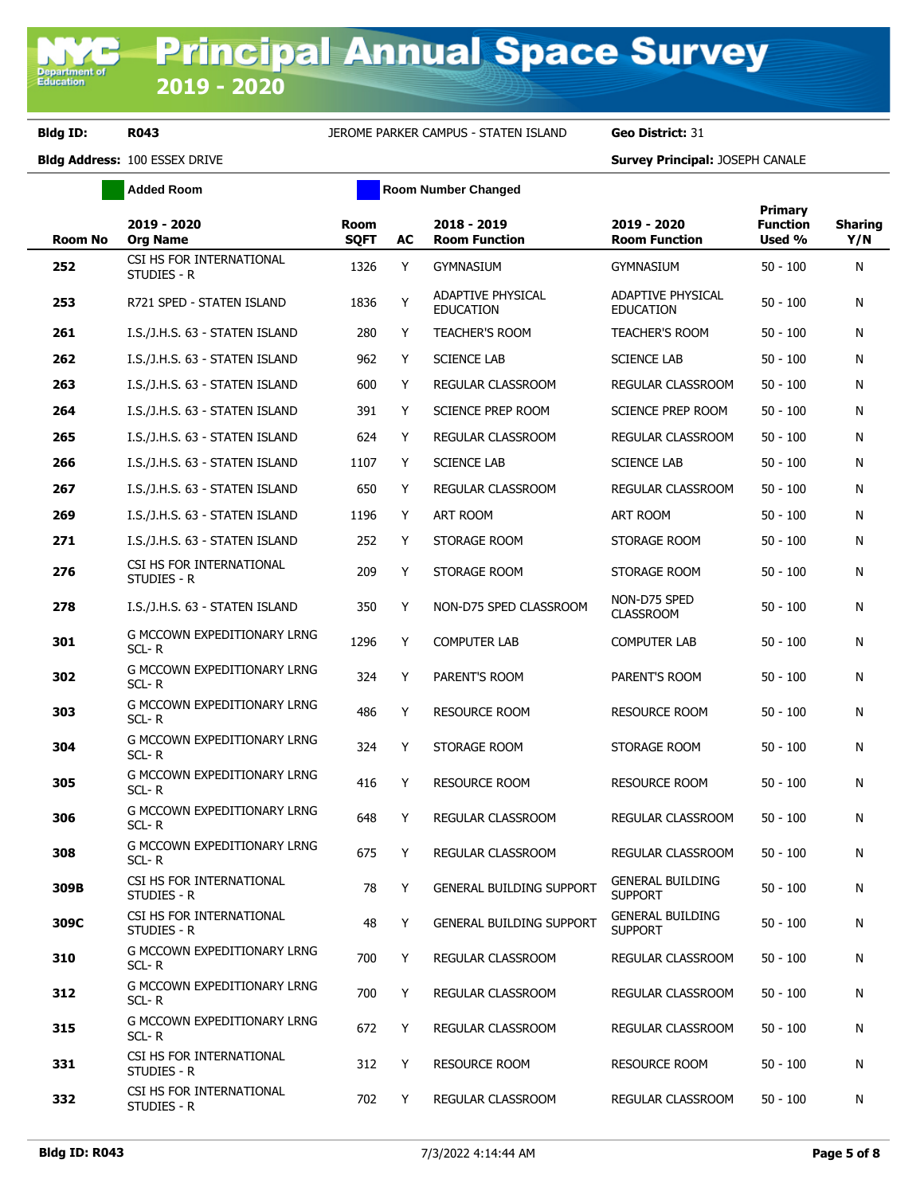**Added Room Room Room Number Changed** 

| <b>Room No</b> | 2019 - 2020<br><b>Org Name</b>          | <b>Room</b><br><b>SQFT</b> | AC | 2018 - 2019<br><b>Room Function</b>   | 2019 - 2020<br><b>Room Function</b>       | <b>Primary</b><br><b>Function</b><br>Used % | <b>Sharing</b><br>Y/N |
|----------------|-----------------------------------------|----------------------------|----|---------------------------------------|-------------------------------------------|---------------------------------------------|-----------------------|
| 252            | CSI HS FOR INTERNATIONAL<br>STUDIES - R | 1326                       | Y  | <b>GYMNASIUM</b>                      | gymnasium                                 | $50 - 100$                                  | N                     |
| 253            | R721 SPED - STATEN ISLAND               | 1836                       | Y  | ADAPTIVE PHYSICAL<br><b>EDUCATION</b> | ADAPTIVE PHYSICAL<br><b>EDUCATION</b>     | $50 - 100$                                  | N                     |
| 261            | I.S./J.H.S. 63 - STATEN ISLAND          | 280                        | Y  | <b>TEACHER'S ROOM</b>                 | <b>TEACHER'S ROOM</b>                     | $50 - 100$                                  | N                     |
| 262            | I.S./J.H.S. 63 - STATEN ISLAND          | 962                        | Y  | <b>SCIENCE LAB</b>                    | <b>SCIENCE LAB</b>                        | $50 - 100$                                  | N                     |
| 263            | I.S./J.H.S. 63 - STATEN ISLAND          | 600                        | Y  | REGULAR CLASSROOM                     | REGULAR CLASSROOM                         | $50 - 100$                                  | N                     |
| 264            | I.S./J.H.S. 63 - STATEN ISLAND          | 391                        | Y  | SCIENCE PREP ROOM                     | SCIENCE PREP ROOM                         | $50 - 100$                                  | N                     |
| 265            | I.S./J.H.S. 63 - STATEN ISLAND          | 624                        | Y  | REGULAR CLASSROOM                     | REGULAR CLASSROOM                         | $50 - 100$                                  | N                     |
| 266            | I.S./J.H.S. 63 - STATEN ISLAND          | 1107                       | Y  | <b>SCIENCE LAB</b>                    | <b>SCIENCE LAB</b>                        | $50 - 100$                                  | N                     |
| 267            | I.S./J.H.S. 63 - STATEN ISLAND          | 650                        | Y  | REGULAR CLASSROOM                     | REGULAR CLASSROOM                         | $50 - 100$                                  | N                     |
| 269            | I.S./J.H.S. 63 - STATEN ISLAND          | 1196                       | Y  | ART ROOM                              | ART ROOM                                  | $50 - 100$                                  | N                     |
| 271            | I.S./J.H.S. 63 - STATEN ISLAND          | 252                        | Y  | STORAGE ROOM                          | STORAGE ROOM                              | $50 - 100$                                  | N                     |
| 276            | CSI HS FOR INTERNATIONAL<br>STUDIES - R | 209                        | Y  | STORAGE ROOM                          | STORAGE ROOM                              | $50 - 100$                                  | N                     |
| 278            | I.S./J.H.S. 63 - STATEN ISLAND          | 350                        | Y  | NON-D75 SPED CLASSROOM                | NON-D75 SPED<br><b>CLASSROOM</b>          | $50 - 100$                                  | N                     |
| 301            | G MCCOWN EXPEDITIONARY LRNG<br>SCL-R    | 1296                       | Y  | <b>COMPUTER LAB</b>                   | COMPUTER LAB                              | $50 - 100$                                  | N                     |
| 302            | G MCCOWN EXPEDITIONARY LRNG<br>SCL-R    | 324                        | Y  | PARENT'S ROOM                         | PARENT'S ROOM                             | $50 - 100$                                  | N                     |
| 303            | G MCCOWN EXPEDITIONARY LRNG<br>SCL-R    | 486                        | Y  | <b>RESOURCE ROOM</b>                  | <b>RESOURCE ROOM</b>                      | $50 - 100$                                  | N                     |
| 304            | G MCCOWN EXPEDITIONARY LRNG<br>SCL-R    | 324                        | Y  | STORAGE ROOM                          | STORAGE ROOM                              | $50 - 100$                                  | N                     |
| 305            | G MCCOWN EXPEDITIONARY LRNG<br>SCL-R    | 416                        | Y  | <b>RESOURCE ROOM</b>                  | <b>RESOURCE ROOM</b>                      | $50 - 100$                                  | N                     |
| 306            | G MCCOWN EXPEDITIONARY LRNG<br>SCL-R    | 648                        | Y  | REGULAR CLASSROOM                     | REGULAR CLASSROOM                         | $50 - 100$                                  | N                     |
| 308            | G MCCOWN EXPEDITIONARY LRNG<br>SCL-R    | 675                        | Y  | REGULAR CLASSROOM                     | REGULAR CLASSROOM                         | $50 - 100$                                  | N                     |
| 309B           | CSI HS FOR INTERNATIONAL<br>STUDIES - R | 78                         | Y  | <b>GENERAL BUILDING SUPPORT</b>       | <b>GENERAL BUILDING</b><br><b>SUPPORT</b> | $50 - 100$                                  | N                     |
| 309C           | CSI HS FOR INTERNATIONAL<br>STUDIES - R | 48                         | Y  | <b>GENERAL BUILDING SUPPORT</b>       | <b>GENERAL BUILDING</b><br><b>SUPPORT</b> | $50 - 100$                                  | N                     |
| 310            | G MCCOWN EXPEDITIONARY LRNG<br>SCL-R    | 700                        | Y  | REGULAR CLASSROOM                     | REGULAR CLASSROOM                         | $50 - 100$                                  | N                     |
| 312            | G MCCOWN EXPEDITIONARY LRNG<br>SCL-R    | 700                        | Y  | <b>REGULAR CLASSROOM</b>              | REGULAR CLASSROOM                         | $50 - 100$                                  | N                     |
| 315            | G MCCOWN EXPEDITIONARY LRNG<br>SCL-R    | 672                        | Y  | REGULAR CLASSROOM                     | REGULAR CLASSROOM                         | $50 - 100$                                  | N                     |
| 331            | CSI HS FOR INTERNATIONAL<br>STUDIES - R | 312                        | Y  | <b>RESOURCE ROOM</b>                  | <b>RESOURCE ROOM</b>                      | $50 - 100$                                  | N                     |
| 332            | CSI HS FOR INTERNATIONAL<br>STUDIES - R | 702                        | Y  | REGULAR CLASSROOM                     | REGULAR CLASSROOM                         | $50 - 100$                                  | N                     |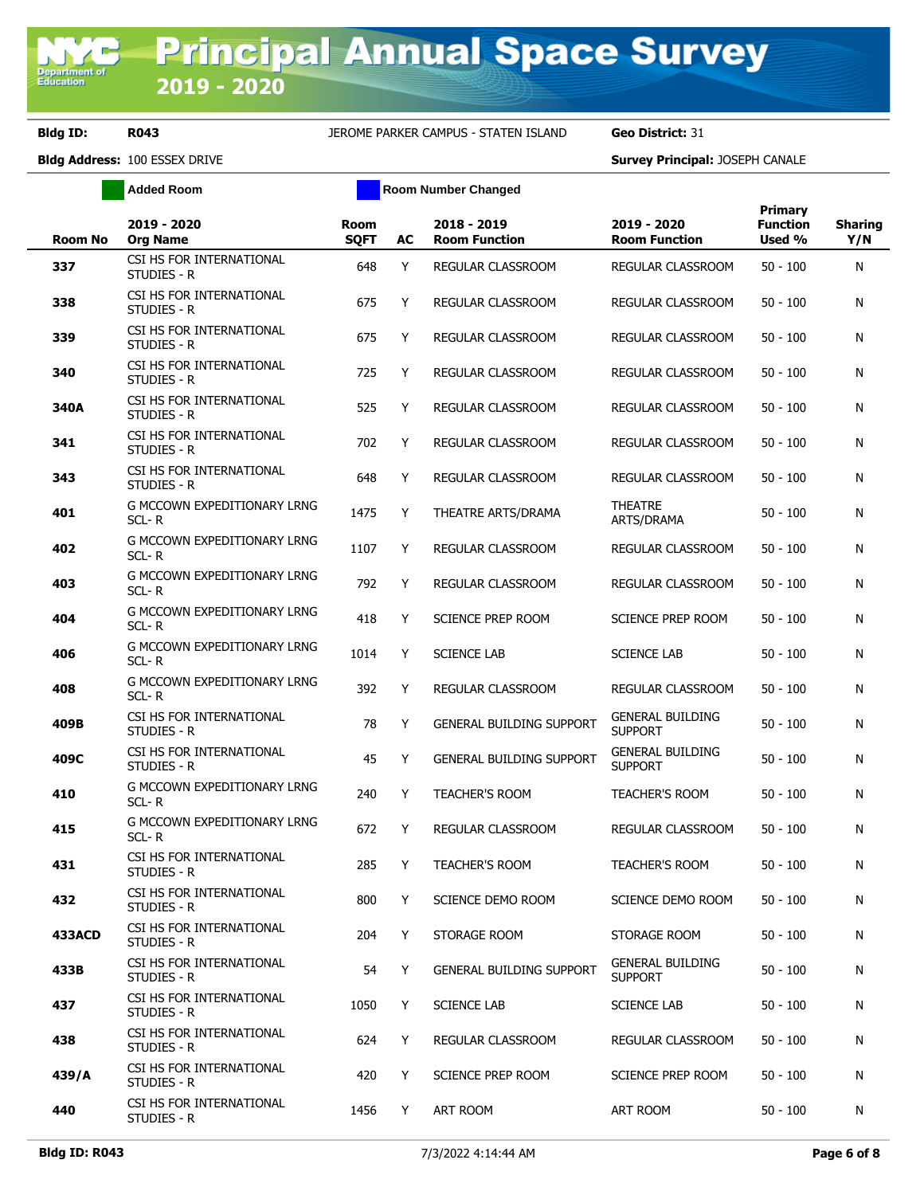**Added Room Room Room Number Changed** 

| <b>Room No</b> | 2019 - 2020<br><b>Org Name</b>              | <b>Room</b><br><b>SQFT</b> | AC | 2018 - 2019<br><b>Room Function</b> | 2019 - 2020<br><b>Room Function</b>       | Primary<br><b>Function</b><br>Used % | <b>Sharing</b><br>Y/N |
|----------------|---------------------------------------------|----------------------------|----|-------------------------------------|-------------------------------------------|--------------------------------------|-----------------------|
| 337            | CSI HS FOR INTERNATIONAL<br>STUDIES - R     | 648                        | Y  | REGULAR CLASSROOM                   | REGULAR CLASSROOM                         | $50 - 100$                           | N                     |
| 338            | CSI HS FOR INTERNATIONAL<br>STUDIES - R     | 675                        | Y  | REGULAR CLASSROOM                   | REGULAR CLASSROOM                         | $50 - 100$                           | N                     |
| 339            | CSI HS FOR INTERNATIONAL<br>STUDIES - R     | 675                        | Y  | REGULAR CLASSROOM                   | REGULAR CLASSROOM                         | $50 - 100$                           | N                     |
| 340            | CSI HS FOR INTERNATIONAL<br>STUDIES - R     | 725                        | Y  | REGULAR CLASSROOM                   | REGULAR CLASSROOM                         | 50 - 100                             | N                     |
| 340A           | CSI HS FOR INTERNATIONAL<br>STUDIES - R     | 525                        | Y  | <b>REGULAR CLASSROOM</b>            | REGULAR CLASSROOM                         | $50 - 100$                           | N                     |
| 341            | CSI HS FOR INTERNATIONAL<br>STUDIES - R     | 702                        | Y  | <b>REGULAR CLASSROOM</b>            | REGULAR CLASSROOM                         | 50 - 100                             | N                     |
| 343            | CSI HS FOR INTERNATIONAL<br>STUDIES - R     | 648                        | Y  | <b>REGULAR CLASSROOM</b>            | REGULAR CLASSROOM                         | $50 - 100$                           | N                     |
| 401            | G MCCOWN EXPEDITIONARY LRNG<br>SCL-R        | 1475                       | Y  | THEATRE ARTS/DRAMA                  | THEATRE<br>ARTS/DRAMA                     | $50 - 100$                           | N                     |
| 402            | G MCCOWN EXPEDITIONARY LRNG<br>$SCL - R$    | 1107                       | Y  | REGULAR CLASSROOM                   | REGULAR CLASSROOM                         | $50 - 100$                           | N                     |
| 403            | G MCCOWN EXPEDITIONARY LRNG<br>SCL-R        | 792                        | Y  | <b>REGULAR CLASSROOM</b>            | REGULAR CLASSROOM                         | $50 - 100$                           | N                     |
| 404            | <b>G MCCOWN EXPEDITIONARY LRNG</b><br>SCL-R | 418                        | Y  | SCIENCE PREP ROOM                   | <b>SCIENCE PREP ROOM</b>                  | $50 - 100$                           | N                     |
| 406            | G MCCOWN EXPEDITIONARY LRNG<br>SCL-R        | 1014                       | Y  | <b>SCIENCE LAB</b>                  | <b>SCIENCE LAB</b>                        | $50 - 100$                           | N                     |
| 408            | G MCCOWN EXPEDITIONARY LRNG<br>$SCL - R$    | 392                        | Y  | REGULAR CLASSROOM                   | REGULAR CLASSROOM                         | $50 - 100$                           | N                     |
| 409B           | CSI HS FOR INTERNATIONAL<br>STUDIES - R     | 78                         | Y  | <b>GENERAL BUILDING SUPPORT</b>     | <b>GENERAL BUILDING</b><br><b>SUPPORT</b> | $50 - 100$                           | N                     |
| 409C           | CSI HS FOR INTERNATIONAL<br>STUDIES - R     | 45                         | Y  | <b>GENERAL BUILDING SUPPORT</b>     | <b>GENERAL BUILDING</b><br><b>SUPPORT</b> | $50 - 100$                           | N                     |
| 410            | G MCCOWN EXPEDITIONARY LRNG<br>$SCL - R$    | 240                        | Y  | <b>TEACHER'S ROOM</b>               | TEACHER'S ROOM                            | $50 - 100$                           | N                     |
| 415            | G MCCOWN EXPEDITIONARY LRNG<br>$SCL - R$    | 672                        | Y  | REGULAR CLASSROOM                   | <b>REGULAR CLASSROOM</b>                  | $50 - 100$                           | N                     |
| 431            | CSI HS FOR INTERNATIONAL<br>studies - R     | 285                        | Y  | <b>TEACHER'S ROOM</b>               | <b>TEACHER'S ROOM</b>                     | $50 - 100$                           | N                     |
| 432            | CSI HS FOR INTERNATIONAL<br>STUDIES - R     | 800                        | Y  | SCIENCE DEMO ROOM                   | SCIENCE DEMO ROOM                         | $50 - 100$                           | N                     |
| <b>433ACD</b>  | CSI HS FOR INTERNATIONAL<br>STUDIES - R     | 204                        | Y  | STORAGE ROOM                        | STORAGE ROOM                              | $50 - 100$                           | N                     |
| 433B           | CSI HS FOR INTERNATIONAL<br>STUDIES - R     | 54                         | Y  | <b>GENERAL BUILDING SUPPORT</b>     | <b>GENERAL BUILDING</b><br><b>SUPPORT</b> | $50 - 100$                           | N                     |
| 437            | CSI HS FOR INTERNATIONAL<br>STUDIES - R     | 1050                       | Y  | <b>SCIENCE LAB</b>                  | <b>SCIENCE LAB</b>                        | $50 - 100$                           | N                     |
| 438            | CSI HS FOR INTERNATIONAL<br>STUDIES - R     | 624                        | Y  | REGULAR CLASSROOM                   | REGULAR CLASSROOM                         | $50 - 100$                           | N                     |
| 439/A          | CSI HS FOR INTERNATIONAL<br>STUDIES - R     | 420                        | Y  | SCIENCE PREP ROOM                   | SCIENCE PREP ROOM                         | $50 - 100$                           | N                     |
| 440            | CSI HS FOR INTERNATIONAL<br>STUDIES - R     | 1456                       | Y  | ART ROOM                            | ART ROOM                                  | $50 - 100$                           | N                     |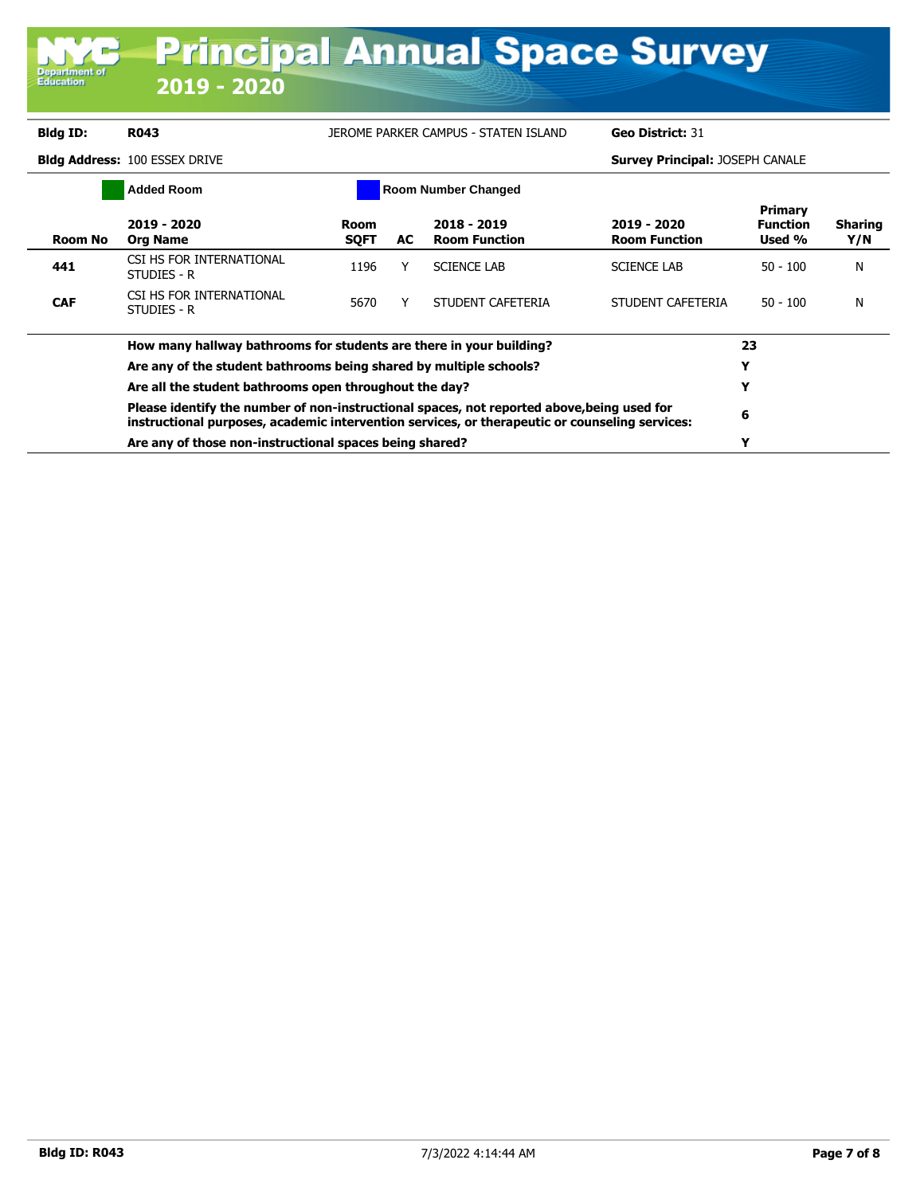| <b>Department of</b><br><b>Education</b>               | $2019 - 2020$                                                                                                                                                                                |                            |    | <b>Principal Annual Space Survey</b> |                                        |                                             |                       |
|--------------------------------------------------------|----------------------------------------------------------------------------------------------------------------------------------------------------------------------------------------------|----------------------------|----|--------------------------------------|----------------------------------------|---------------------------------------------|-----------------------|
| <b>Bldg ID:</b>                                        | <b>R043</b>                                                                                                                                                                                  |                            |    | JEROME PARKER CAMPUS - STATEN ISLAND | Geo District: 31                       |                                             |                       |
|                                                        | <b>Bldg Address: 100 ESSEX DRIVE</b>                                                                                                                                                         |                            |    |                                      | <b>Survey Principal: JOSEPH CANALE</b> |                                             |                       |
|                                                        | <b>Added Room</b>                                                                                                                                                                            |                            |    | <b>Room Number Changed</b>           |                                        |                                             |                       |
| <b>Room No</b>                                         | 2019 - 2020<br><b>Org Name</b>                                                                                                                                                               | <b>Room</b><br><b>SQFT</b> | AC | 2018 - 2019<br><b>Room Function</b>  | 2019 - 2020<br><b>Room Function</b>    | <b>Primary</b><br><b>Function</b><br>Used % | <b>Sharing</b><br>Y/N |
| 441                                                    | CSI HS FOR INTERNATIONAL<br>STUDIES - R                                                                                                                                                      | 1196                       | Υ  | <b>SCIENCE LAB</b>                   | <b>SCIENCE LAB</b>                     | $50 - 100$                                  | N                     |
| <b>CAF</b>                                             | CSI HS FOR INTERNATIONAL<br>STUDIES - R                                                                                                                                                      | 5670                       | Y  | STUDENT CAFETERIA                    | STUDENT CAFETERIA                      | $50 - 100$                                  | N                     |
|                                                        | How many hallway bathrooms for students are there in your building?                                                                                                                          |                            |    |                                      |                                        | 23                                          |                       |
|                                                        | Are any of the student bathrooms being shared by multiple schools?                                                                                                                           |                            |    |                                      |                                        | Y                                           |                       |
| Are all the student bathrooms open throughout the day? |                                                                                                                                                                                              |                            |    |                                      |                                        |                                             |                       |
|                                                        | Please identify the number of non-instructional spaces, not reported above, being used for<br>instructional purposes, academic intervention services, or therapeutic or counseling services: | 6                          |    |                                      |                                        |                                             |                       |
|                                                        | Are any of those non-instructional spaces being shared?                                                                                                                                      |                            |    |                                      |                                        | Y                                           |                       |